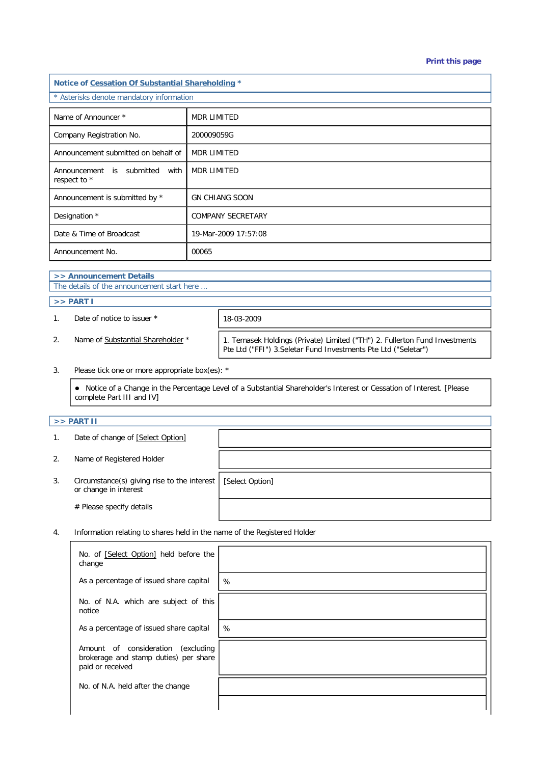#### **Print this page**

| Notice of Cessation Of Substantial Shareholding * |                          |  |  |  |
|---------------------------------------------------|--------------------------|--|--|--|
| * Asterisks denote mandatory information          |                          |  |  |  |
| Name of Announcer *                               | <b>MDR LIMITED</b>       |  |  |  |
| Company Registration No.                          | 200009059G               |  |  |  |
| Announcement submitted on behalf of               | <b>MDR LIMITED</b>       |  |  |  |
| Announcement is submitted with<br>respect to *    | <b>MDR LIMITED</b>       |  |  |  |
| Announcement is submitted by *                    | <b>GN CHIANG SOON</b>    |  |  |  |
| Designation *                                     | <b>COMPANY SECRETARY</b> |  |  |  |
| Date & Time of Broadcast                          | 19-Mar-2009 17:57:08     |  |  |  |
| Announcement No.                                  | 00065                    |  |  |  |

# **>> Announcement Details**

The details of the announcement start here ...

### **>> PART I**

1. Date of notice to issuer \* 18-03-2009

2. Name of Substantial Shareholder \* | 1. Temasek Holdings (Private) Limited ("TH") 2. Fullerton Fund Investments Pte Ltd ("FFI") 3.Seletar Fund Investments Pte Ltd ("Seletar")

3. Please tick one or more appropriate box(es): \*

 Notice of a Change in the Percentage Level of a Substantial Shareholder's Interest or Cessation of Interest. [Please complete Part III and IV]

# **>> PART II**

1. Date of change of [Select Option]

2. Name of Registered Holder

# Please specify details

3. Circumstance(s) giving rise to the interest or change in interest

[Select Option]

4. Information relating to shares held in the name of the Registered Holder

| No. of [Select Option] held before the<br>change                                                   |      |
|----------------------------------------------------------------------------------------------------|------|
| As a percentage of issued share capital                                                            | %    |
| No. of N.A. which are subject of this<br>notice                                                    |      |
| As a percentage of issued share capital                                                            | $\%$ |
| Amount of consideration<br>excluding)<br>brokerage and stamp duties) per share<br>paid or received |      |
| No. of N.A. held after the change                                                                  |      |
|                                                                                                    |      |